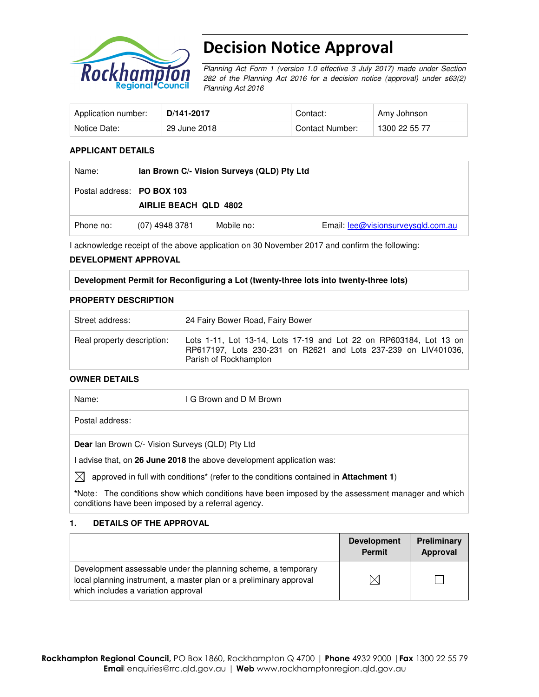

# Decision Notice Approval

Planning Act Form 1 (version 1.0 effective 3 July 2017) made under Section 282 of the Planning Act 2016 for a decision notice (approval) under s63(2) Planning Act 2016

| Application number: | D/141-2017   | Contact:        | Amy Johnson   |
|---------------------|--------------|-----------------|---------------|
| Notice Date:        | 29 June 2018 | Contact Number: | 1300 22 55 77 |

#### **APPLICANT DETAILS**

| Name:                      | lan Brown C/- Vision Surveys (QLD) Pty Ltd |            |                                    |
|----------------------------|--------------------------------------------|------------|------------------------------------|
| Postal address: PO BOX 103 | AIRLIE BEACH QLD 4802                      |            |                                    |
| Phone no:                  | (07) 4948 3781                             | Mobile no: | Email: lee@visionsurveysgld.com.au |

I acknowledge receipt of the above application on 30 November 2017 and confirm the following:

#### **DEVELOPMENT APPROVAL**

#### **Development Permit for Reconfiguring a Lot (twenty-three lots into twenty-three lots)**

#### **PROPERTY DESCRIPTION**

| Street address:            | 24 Fairy Bower Road, Fairy Bower                                                                                                                              |  |  |
|----------------------------|---------------------------------------------------------------------------------------------------------------------------------------------------------------|--|--|
| Real property description: | Lots 1-11, Lot 13-14, Lots 17-19 and Lot 22 on RP603184, Lot 13 on<br>RP617197, Lots 230-231 on R2621 and Lots 237-239 on LIV401036,<br>Parish of Rockhampton |  |  |

#### **OWNER DETAILS**

| Name:           | I G Brown and D M Brown                         |  |
|-----------------|-------------------------------------------------|--|
| Postal address: |                                                 |  |
|                 | Dear Ian Brown C/- Vision Surveys (QLD) Pty Ltd |  |

I advise that, on **26 June 2018** the above development application was:

 $\boxtimes$  approved in full with conditions<sup>\*</sup> (refer to the conditions contained in **Attachment 1**)

**\***Note:The conditions show which conditions have been imposed by the assessment manager and which conditions have been imposed by a referral agency.

#### **1. DETAILS OF THE APPROVAL**

|                                                                                                                                                                            | <b>Development</b><br><b>Permit</b> | Preliminary<br>Approval |
|----------------------------------------------------------------------------------------------------------------------------------------------------------------------------|-------------------------------------|-------------------------|
| Development assessable under the planning scheme, a temporary<br>local planning instrument, a master plan or a preliminary approval<br>which includes a variation approval |                                     |                         |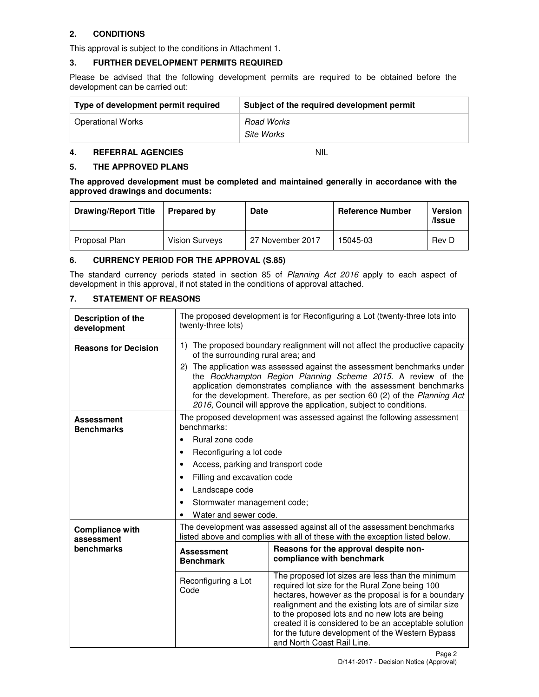## **2. CONDITIONS**

This approval is subject to the conditions in Attachment 1.

#### **3. FURTHER DEVELOPMENT PERMITS REQUIRED**

Please be advised that the following development permits are required to be obtained before the development can be carried out:

| Type of development permit required | Subject of the required development permit |
|-------------------------------------|--------------------------------------------|
| Operational Works                   | Road Works                                 |
|                                     | Site Works                                 |

#### **4. REFERRAL AGENCIES** NIL

#### **5. THE APPROVED PLANS**

**The approved development must be completed and maintained generally in accordance with the approved drawings and documents:** 

| <b>Drawing/Report Title</b> | <b>Prepared by</b>    | Date             | <b>Reference Number</b> | <b>Version</b><br>/Issue |
|-----------------------------|-----------------------|------------------|-------------------------|--------------------------|
| Proposal Plan               | <b>Vision Surveys</b> | 27 November 2017 | 15045-03                | Rev D                    |

#### **6. CURRENCY PERIOD FOR THE APPROVAL (S.85)**

The standard currency periods stated in section 85 of Planning Act 2016 apply to each aspect of development in this approval, if not stated in the conditions of approval attached.

#### **7. STATEMENT OF REASONS**

| <b>Description of the</b><br>development | The proposed development is for Reconfiguring a Lot (twenty-three lots into<br>twenty-three lots)                                                                                                                                                                                                                                                                |                                                                                                                                                                                                                                                                                                                                                                                                                 |  |
|------------------------------------------|------------------------------------------------------------------------------------------------------------------------------------------------------------------------------------------------------------------------------------------------------------------------------------------------------------------------------------------------------------------|-----------------------------------------------------------------------------------------------------------------------------------------------------------------------------------------------------------------------------------------------------------------------------------------------------------------------------------------------------------------------------------------------------------------|--|
| <b>Reasons for Decision</b>              | 1) The proposed boundary realignment will not affect the productive capacity<br>of the surrounding rural area; and                                                                                                                                                                                                                                               |                                                                                                                                                                                                                                                                                                                                                                                                                 |  |
|                                          | 2) The application was assessed against the assessment benchmarks under<br>the Rockhampton Region Planning Scheme 2015. A review of the<br>application demonstrates compliance with the assessment benchmarks<br>for the development. Therefore, as per section 60 (2) of the Planning Act<br>2016, Council will approve the application, subject to conditions. |                                                                                                                                                                                                                                                                                                                                                                                                                 |  |
| <b>Assessment</b><br><b>Benchmarks</b>   | benchmarks:                                                                                                                                                                                                                                                                                                                                                      | The proposed development was assessed against the following assessment                                                                                                                                                                                                                                                                                                                                          |  |
|                                          | Rural zone code<br>$\bullet$                                                                                                                                                                                                                                                                                                                                     |                                                                                                                                                                                                                                                                                                                                                                                                                 |  |
|                                          | Reconfiguring a lot code<br>٠                                                                                                                                                                                                                                                                                                                                    |                                                                                                                                                                                                                                                                                                                                                                                                                 |  |
|                                          | Access, parking and transport code<br>$\bullet$                                                                                                                                                                                                                                                                                                                  |                                                                                                                                                                                                                                                                                                                                                                                                                 |  |
|                                          | Filling and excavation code                                                                                                                                                                                                                                                                                                                                      |                                                                                                                                                                                                                                                                                                                                                                                                                 |  |
|                                          | Landscape code                                                                                                                                                                                                                                                                                                                                                   |                                                                                                                                                                                                                                                                                                                                                                                                                 |  |
|                                          | Stormwater management code;<br>٠                                                                                                                                                                                                                                                                                                                                 |                                                                                                                                                                                                                                                                                                                                                                                                                 |  |
|                                          | Water and sewer code.                                                                                                                                                                                                                                                                                                                                            |                                                                                                                                                                                                                                                                                                                                                                                                                 |  |
| <b>Compliance with</b><br>assessment     |                                                                                                                                                                                                                                                                                                                                                                  | The development was assessed against all of the assessment benchmarks<br>listed above and complies with all of these with the exception listed below.                                                                                                                                                                                                                                                           |  |
| benchmarks                               | <b>Assessment</b><br><b>Benchmark</b>                                                                                                                                                                                                                                                                                                                            | Reasons for the approval despite non-<br>compliance with benchmark                                                                                                                                                                                                                                                                                                                                              |  |
|                                          | Reconfiguring a Lot<br>Code                                                                                                                                                                                                                                                                                                                                      | The proposed lot sizes are less than the minimum<br>required lot size for the Rural Zone being 100<br>hectares, however as the proposal is for a boundary<br>realignment and the existing lots are of similar size<br>to the proposed lots and no new lots are being<br>created it is considered to be an acceptable solution<br>for the future development of the Western Bypass<br>and North Coast Rail Line. |  |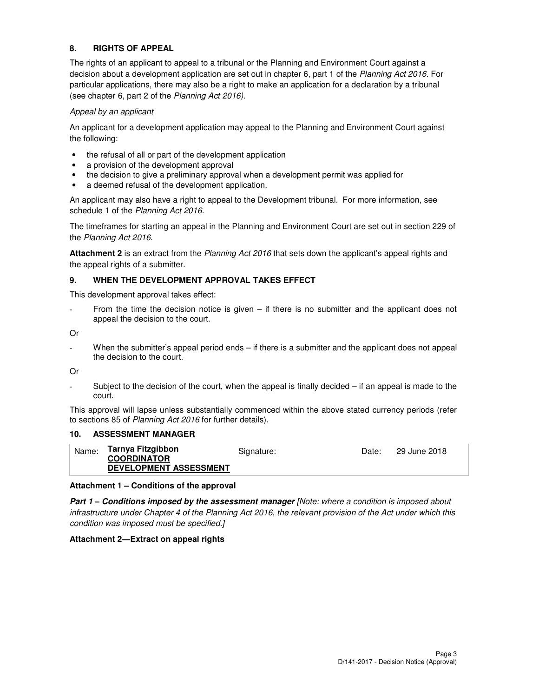## **8. RIGHTS OF APPEAL**

The rights of an applicant to appeal to a tribunal or the Planning and Environment Court against a decision about a development application are set out in chapter 6, part 1 of the Planning Act 2016. For particular applications, there may also be a right to make an application for a declaration by a tribunal (see chapter 6, part 2 of the Planning Act 2016).

#### Appeal by an applicant

An applicant for a development application may appeal to the Planning and Environment Court against the following:

- the refusal of all or part of the development application
- a provision of the development approval
- the decision to give a preliminary approval when a development permit was applied for
- a deemed refusal of the development application.

An applicant may also have a right to appeal to the Development tribunal. For more information, see schedule 1 of the Planning Act 2016.

The timeframes for starting an appeal in the Planning and Environment Court are set out in section 229 of the Planning Act 2016.

**Attachment 2** is an extract from the Planning Act 2016 that sets down the applicant's appeal rights and the appeal rights of a submitter.

#### **9. WHEN THE DEVELOPMENT APPROVAL TAKES EFFECT**

This development approval takes effect:

From the time the decision notice is given  $-$  if there is no submitter and the applicant does not appeal the decision to the court.

Or

When the submitter's appeal period ends – if there is a submitter and the applicant does not appeal the decision to the court.

Or

Subject to the decision of the court, when the appeal is finally decided  $-$  if an appeal is made to the court.

This approval will lapse unless substantially commenced within the above stated currency periods (refer to sections 85 of Planning Act 2016 for further details).

#### **10. ASSESSMENT MANAGER**

| Name: | Tarnya Fitzgibbon<br><b>COORDINATOR</b> | Signature: | Date: | 29 June 2018 |
|-------|-----------------------------------------|------------|-------|--------------|
|       | <b>DEVELOPMENT ASSESSMENT</b>           |            |       |              |

#### **Attachment 1 – Conditions of the approval**

**Part 1 – Conditions imposed by the assessment manager** [Note: where a condition is imposed about infrastructure under Chapter 4 of the Planning Act 2016, the relevant provision of the Act under which this condition was imposed must be specified.]

#### **Attachment 2—Extract on appeal rights**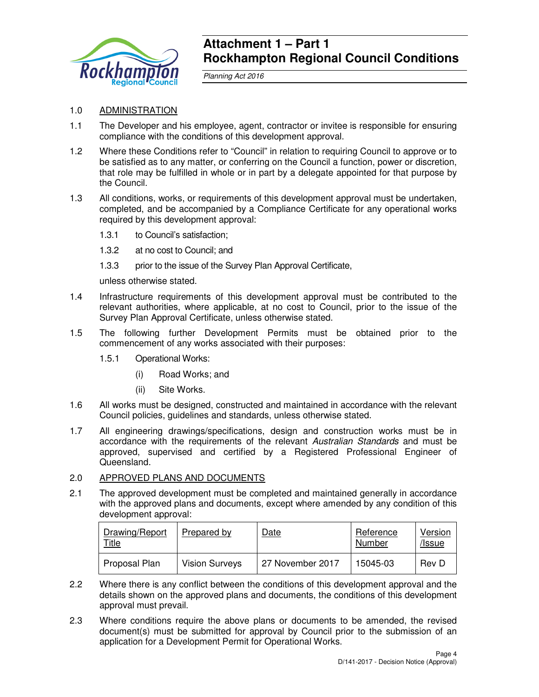

## **Attachment 1 – Part 1 Rockhampton Regional Council Conditions**

Planning Act 2016

## 1.0 ADMINISTRATION

- 1.1 The Developer and his employee, agent, contractor or invitee is responsible for ensuring compliance with the conditions of this development approval.
- 1.2 Where these Conditions refer to "Council" in relation to requiring Council to approve or to be satisfied as to any matter, or conferring on the Council a function, power or discretion, that role may be fulfilled in whole or in part by a delegate appointed for that purpose by the Council.
- 1.3 All conditions, works, or requirements of this development approval must be undertaken, completed, and be accompanied by a Compliance Certificate for any operational works required by this development approval:
	- 1.3.1 to Council's satisfaction;
	- 1.3.2 at no cost to Council; and
	- 1.3.3 prior to the issue of the Survey Plan Approval Certificate,

unless otherwise stated.

- 1.4 Infrastructure requirements of this development approval must be contributed to the relevant authorities, where applicable, at no cost to Council, prior to the issue of the Survey Plan Approval Certificate, unless otherwise stated.
- 1.5 The following further Development Permits must be obtained prior to the commencement of any works associated with their purposes:
	- 1.5.1 Operational Works:
		- (i) Road Works; and
		- (ii) Site Works.
- 1.6 All works must be designed, constructed and maintained in accordance with the relevant Council policies, guidelines and standards, unless otherwise stated.
- 1.7 All engineering drawings/specifications, design and construction works must be in accordance with the requirements of the relevant Australian Standards and must be approved, supervised and certified by a Registered Professional Engineer of Queensland.

#### 2.0 APPROVED PLANS AND DOCUMENTS

2.1 The approved development must be completed and maintained generally in accordance with the approved plans and documents, except where amended by any condition of this development approval:

| Drawing/Report<br><b>Title</b> | Prepared by           | Date             | Reference<br>Number | Version<br>/Issue |
|--------------------------------|-----------------------|------------------|---------------------|-------------------|
| Proposal Plan                  | <b>Vision Surveys</b> | 27 November 2017 | 15045-03            | Rev D             |

- 2.2 Where there is any conflict between the conditions of this development approval and the details shown on the approved plans and documents, the conditions of this development approval must prevail.
- 2.3 Where conditions require the above plans or documents to be amended, the revised document(s) must be submitted for approval by Council prior to the submission of an application for a Development Permit for Operational Works.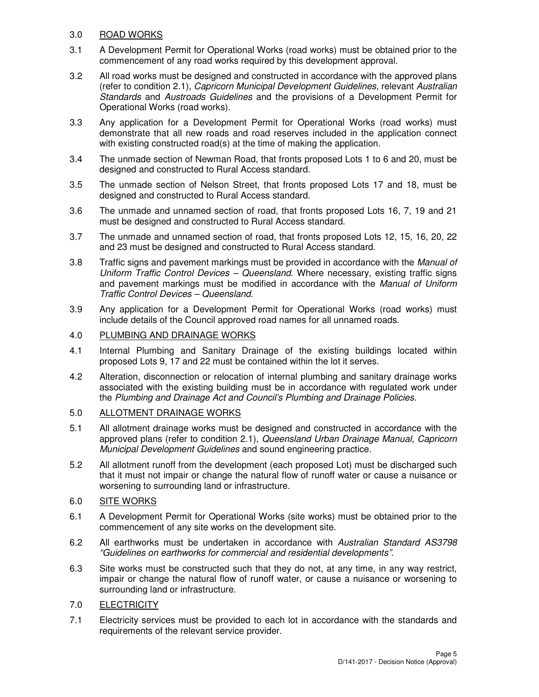## 3.0 ROAD WORKS

- 3.1 A Development Permit for Operational Works (road works) must be obtained prior to the commencement of any road works required by this development approval.
- 3.2 All road works must be designed and constructed in accordance with the approved plans (refer to condition 2.1), Capricorn Municipal Development Guidelines, relevant Australian Standards and Austroads Guidelines and the provisions of a Development Permit for Operational Works (road works).
- 3.3 Any application for a Development Permit for Operational Works (road works) must demonstrate that all new roads and road reserves included in the application connect with existing constructed road(s) at the time of making the application.
- 3.4 The unmade section of Newman Road, that fronts proposed Lots 1 to 6 and 20, must be designed and constructed to Rural Access standard.
- 3.5 The unmade section of Nelson Street, that fronts proposed Lots 17 and 18, must be designed and constructed to Rural Access standard.
- 3.6 The unmade and unnamed section of road, that fronts proposed Lots 16, 7, 19 and 21 must be designed and constructed to Rural Access standard.
- 3.7 The unmade and unnamed section of road, that fronts proposed Lots 12, 15, 16, 20, 22 and 23 must be designed and constructed to Rural Access standard.
- 3.8 Traffic signs and pavement markings must be provided in accordance with the *Manual of* Uniform Traffic Control Devices – Queensland. Where necessary, existing traffic signs and pavement markings must be modified in accordance with the Manual of Uniform Traffic Control Devices – Queensland.
- 3.9 Any application for a Development Permit for Operational Works (road works) must include details of the Council approved road names for all unnamed roads.

## 4.0 PLUMBING AND DRAINAGE WORKS

- 4.1 Internal Plumbing and Sanitary Drainage of the existing buildings located within proposed Lots 9, 17 and 22 must be contained within the lot it serves.
- 4.2 Alteration, disconnection or relocation of internal plumbing and sanitary drainage works associated with the existing building must be in accordance with regulated work under the Plumbing and Drainage Act and Council's Plumbing and Drainage Policies.

## 5.0 ALLOTMENT DRAINAGE WORKS

- 5.1 All allotment drainage works must be designed and constructed in accordance with the approved plans (refer to condition 2.1), Queensland Urban Drainage Manual, Capricorn Municipal Development Guidelines and sound engineering practice.
- 5.2 All allotment runoff from the development (each proposed Lot) must be discharged such that it must not impair or change the natural flow of runoff water or cause a nuisance or worsening to surrounding land or infrastructure.

## 6.0 SITE WORKS

- 6.1 A Development Permit for Operational Works (site works) must be obtained prior to the commencement of any site works on the development site.
- 6.2 All earthworks must be undertaken in accordance with Australian Standard AS3798 "Guidelines on earthworks for commercial and residential developments".
- 6.3 Site works must be constructed such that they do not, at any time, in any way restrict, impair or change the natural flow of runoff water, or cause a nuisance or worsening to surrounding land or infrastructure.
- 7.0 ELECTRICITY
- 7.1 Electricity services must be provided to each lot in accordance with the standards and requirements of the relevant service provider.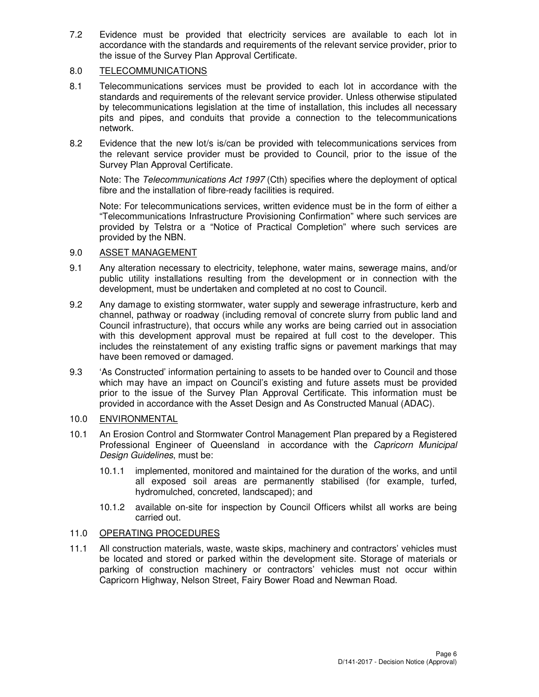7.2 Evidence must be provided that electricity services are available to each lot in accordance with the standards and requirements of the relevant service provider, prior to the issue of the Survey Plan Approval Certificate.

#### 8.0 TELECOMMUNICATIONS

- 8.1 Telecommunications services must be provided to each lot in accordance with the standards and requirements of the relevant service provider. Unless otherwise stipulated by telecommunications legislation at the time of installation, this includes all necessary pits and pipes, and conduits that provide a connection to the telecommunications network.
- 8.2 Evidence that the new lot/s is/can be provided with telecommunications services from the relevant service provider must be provided to Council, prior to the issue of the Survey Plan Approval Certificate.

Note: The Telecommunications Act 1997 (Cth) specifies where the deployment of optical fibre and the installation of fibre-ready facilities is required.

Note: For telecommunications services, written evidence must be in the form of either a "Telecommunications Infrastructure Provisioning Confirmation" where such services are provided by Telstra or a "Notice of Practical Completion" where such services are provided by the NBN.

#### 9.0 ASSET MANAGEMENT

- 9.1 Any alteration necessary to electricity, telephone, water mains, sewerage mains, and/or public utility installations resulting from the development or in connection with the development, must be undertaken and completed at no cost to Council.
- 9.2 Any damage to existing stormwater, water supply and sewerage infrastructure, kerb and channel, pathway or roadway (including removal of concrete slurry from public land and Council infrastructure), that occurs while any works are being carried out in association with this development approval must be repaired at full cost to the developer. This includes the reinstatement of any existing traffic signs or pavement markings that may have been removed or damaged.
- 9.3 'As Constructed' information pertaining to assets to be handed over to Council and those which may have an impact on Council's existing and future assets must be provided prior to the issue of the Survey Plan Approval Certificate. This information must be provided in accordance with the Asset Design and As Constructed Manual (ADAC).

## 10.0 ENVIRONMENTAL

- 10.1 An Erosion Control and Stormwater Control Management Plan prepared by a Registered Professional Engineer of Queensland in accordance with the Capricorn Municipal Design Guidelines, must be:
	- 10.1.1 implemented, monitored and maintained for the duration of the works, and until all exposed soil areas are permanently stabilised (for example, turfed, hydromulched, concreted, landscaped); and
	- 10.1.2 available on-site for inspection by Council Officers whilst all works are being carried out.

## 11.0 OPERATING PROCEDURES

11.1 All construction materials, waste, waste skips, machinery and contractors' vehicles must be located and stored or parked within the development site. Storage of materials or parking of construction machinery or contractors' vehicles must not occur within Capricorn Highway, Nelson Street, Fairy Bower Road and Newman Road.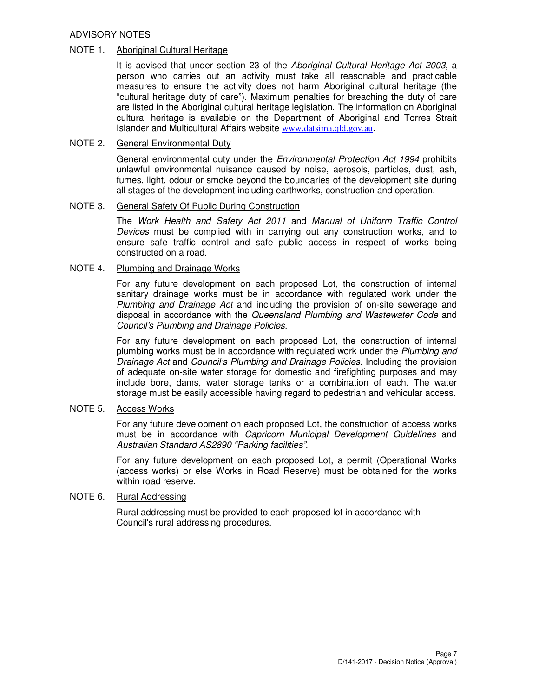#### ADVISORY NOTES

#### NOTE 1. Aboriginal Cultural Heritage

It is advised that under section 23 of the Aboriginal Cultural Heritage Act 2003, a person who carries out an activity must take all reasonable and practicable measures to ensure the activity does not harm Aboriginal cultural heritage (the "cultural heritage duty of care"). Maximum penalties for breaching the duty of care are listed in the Aboriginal cultural heritage legislation. The information on Aboriginal cultural heritage is available on the Department of Aboriginal and Torres Strait Islander and Multicultural Affairs website www.datsima.qld.gov.au.

#### NOTE 2. General Environmental Duty

General environmental duty under the *Environmental Protection Act 1994* prohibits unlawful environmental nuisance caused by noise, aerosols, particles, dust, ash, fumes, light, odour or smoke beyond the boundaries of the development site during all stages of the development including earthworks, construction and operation.

#### NOTE 3. General Safety Of Public During Construction

The Work Health and Safety Act 2011 and Manual of Uniform Traffic Control Devices must be complied with in carrying out any construction works, and to ensure safe traffic control and safe public access in respect of works being constructed on a road.

## NOTE 4. Plumbing and Drainage Works

For any future development on each proposed Lot, the construction of internal sanitary drainage works must be in accordance with regulated work under the Plumbing and Drainage Act and including the provision of on-site sewerage and disposal in accordance with the Queensland Plumbing and Wastewater Code and Council's Plumbing and Drainage Policies.

For any future development on each proposed Lot, the construction of internal plumbing works must be in accordance with regulated work under the Plumbing and Drainage Act and Council's Plumbing and Drainage Policies. Including the provision of adequate on-site water storage for domestic and firefighting purposes and may include bore, dams, water storage tanks or a combination of each. The water storage must be easily accessible having regard to pedestrian and vehicular access.

#### NOTE 5. Access Works

For any future development on each proposed Lot, the construction of access works must be in accordance with *Capricorn Municipal Development Guidelines* and Australian Standard AS2890 "Parking facilities".

For any future development on each proposed Lot, a permit (Operational Works (access works) or else Works in Road Reserve) must be obtained for the works within road reserve.

#### NOTE 6. Rural Addressing

Rural addressing must be provided to each proposed lot in accordance with Council's rural addressing procedures.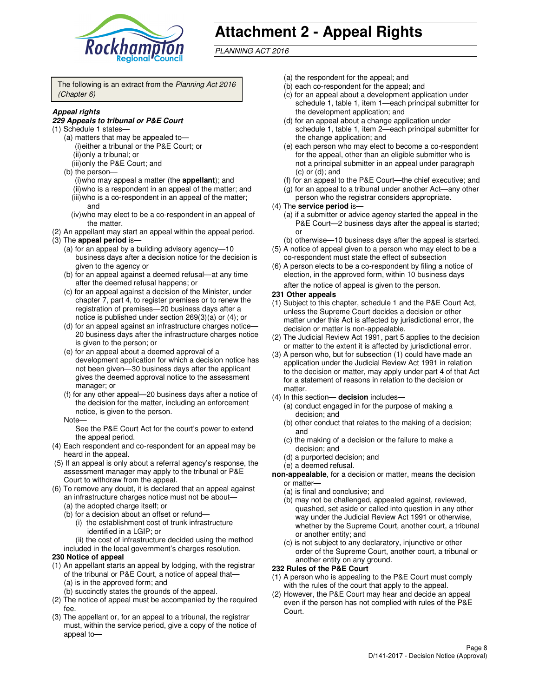

# **Attachment 2 - Appeal Rights**

PLANNING ACT 2016

The following is an extract from the Planning Act 2016 (Chapter 6)

#### **Appeal rights**

#### **229 Appeals to tribunal or P&E Court**

- (1) Schedule 1 states—
	- (a) matters that may be appealed to— (i) either a tribunal or the P&E Court; or (ii) only a tribunal; or (iii) only the P&E Court; and
	- (b) the person—
		- (i) who may appeal a matter (the **appellant**); and
		- (ii) who is a respondent in an appeal of the matter; and (iii) who is a co-respondent in an appeal of the matter;
		- and (iv) who may elect to be a co-respondent in an appeal of
		- the matter.
- (2) An appellant may start an appeal within the appeal period.
- (3) The **appeal period** is—
	- (a) for an appeal by a building advisory agency—10 business days after a decision notice for the decision is given to the agency or
	- (b) for an appeal against a deemed refusal—at any time after the deemed refusal happens; or
	- (c) for an appeal against a decision of the Minister, under chapter 7, part 4, to register premises or to renew the registration of premises—20 business days after a notice is published under section 269(3)(a) or (4); or
	- (d) for an appeal against an infrastructure charges notice— 20 business days after the infrastructure charges notice is given to the person; or
	- (e) for an appeal about a deemed approval of a development application for which a decision notice has not been given—30 business days after the applicant gives the deemed approval notice to the assessment manager; or
	- (f) for any other appeal—20 business days after a notice of the decision for the matter, including an enforcement notice, is given to the person.
	- Note—

See the P&E Court Act for the court's power to extend the appeal period.

- (4) Each respondent and co-respondent for an appeal may be heard in the appeal.
- (5) If an appeal is only about a referral agency's response, the assessment manager may apply to the tribunal or P&E Court to withdraw from the appeal.
- (6) To remove any doubt, it is declared that an appeal against an infrastructure charges notice must not be about—
	- (a) the adopted charge itself; or
	- (b) for a decision about an offset or refund—
		- (i) the establishment cost of trunk infrastructure identified in a LGIP; or

(ii) the cost of infrastructure decided using the method

- included in the local government's charges resolution. **230 Notice of appeal**
- (1) An appellant starts an appeal by lodging, with the registrar
- of the tribunal or P&E Court, a notice of appeal that— (a) is in the approved form; and
	- (b) succinctly states the grounds of the appeal.
- (2) The notice of appeal must be accompanied by the required fee.
- (3) The appellant or, for an appeal to a tribunal, the registrar must, within the service period, give a copy of the notice of appeal to—
- (a) the respondent for the appeal; and
- (b) each co-respondent for the appeal; and
- (c) for an appeal about a development application under schedule 1, table 1, item 1—each principal submitter for the development application; and
- (d) for an appeal about a change application under schedule 1, table 1, item 2—each principal submitter for the change application; and
- (e) each person who may elect to become a co-respondent for the appeal, other than an eligible submitter who is not a principal submitter in an appeal under paragraph  $(c)$  or  $(d)$ ; and
- (f) for an appeal to the P&E Court—the chief executive; and
- (g) for an appeal to a tribunal under another Act—any other person who the registrar considers appropriate.
- (4) The **service period** is—
	- (a) if a submitter or advice agency started the appeal in the P&E Court—2 business days after the appeal is started; or
	- (b) otherwise—10 business days after the appeal is started.
- (5) A notice of appeal given to a person who may elect to be a co-respondent must state the effect of subsection
- (6) A person elects to be a co-respondent by filing a notice of election, in the approved form, within 10 business days after the notice of appeal is given to the person*.*
- **231 Other appeals**
- (1) Subject to this chapter, schedule 1 and the P&E Court Act, unless the Supreme Court decides a decision or other matter under this Act is affected by jurisdictional error, the decision or matter is non-appealable.
- (2) The Judicial Review Act 1991, part 5 applies to the decision or matter to the extent it is affected by jurisdictional error.
- (3) A person who, but for subsection (1) could have made an application under the Judicial Review Act 1991 in relation to the decision or matter, may apply under part 4 of that Act for a statement of reasons in relation to the decision or matter.
- (4) In this section— **decision** includes—
	- (a) conduct engaged in for the purpose of making a decision; and
	- (b) other conduct that relates to the making of a decision; and
	- (c) the making of a decision or the failure to make a decision; and
	- (d) a purported decision; and
	- (e) a deemed refusal.

**non-appealable**, for a decision or matter, means the decision or matter—

- (a) is final and conclusive; and
- (b) may not be challenged, appealed against, reviewed, quashed, set aside or called into question in any other way under the Judicial Review Act 1991 or otherwise, whether by the Supreme Court, another court, a tribunal or another entity; and
- (c) is not subject to any declaratory, injunctive or other order of the Supreme Court, another court, a tribunal or another entity on any ground.

#### **232 Rules of the P&E Court**

- (1) A person who is appealing to the P&E Court must comply with the rules of the court that apply to the appeal.
- (2) However, the P&E Court may hear and decide an appeal even if the person has not complied with rules of the P&E Court.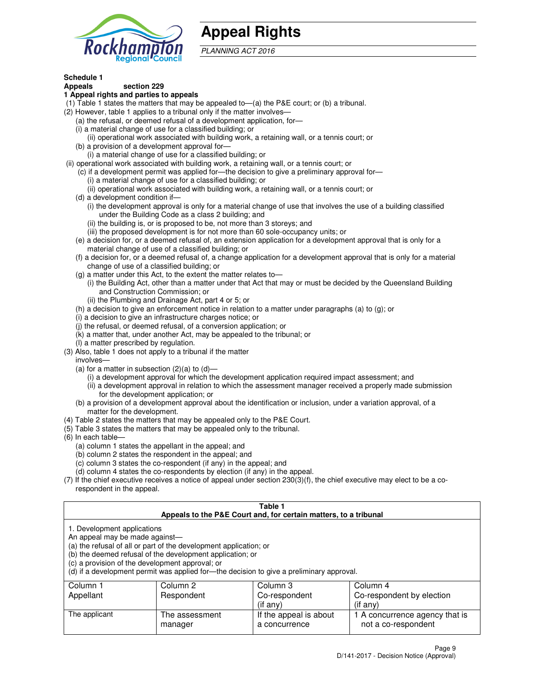

## **Appeal Rights**

PLANNING ACT 2016

## **Schedule 1**

## **Appeals section 229**

#### **1 Appeal rights and parties to appeals**

- (1) Table 1 states the matters that may be appealed to—(a) the P&E court; or (b) a tribunal.
- (2) However, table 1 applies to a tribunal only if the matter involves—
	- (a) the refusal, or deemed refusal of a development application, for—
	- (i) a material change of use for a classified building; or
	- (ii) operational work associated with building work, a retaining wall, or a tennis court; or
	- (b) a provision of a development approval for—
	- (i) a material change of use for a classified building; or
- (ii) operational work associated with building work, a retaining wall, or a tennis court; or
	- (c) if a development permit was applied for—the decision to give a preliminary approval for—
		- (i) a material change of use for a classified building; or
		- (ii) operational work associated with building work, a retaining wall, or a tennis court; or
	- (d) a development condition if—
		- (i) the development approval is only for a material change of use that involves the use of a building classified under the Building Code as a class 2 building; and
		- (ii) the building is, or is proposed to be, not more than 3 storeys; and
		- (iii) the proposed development is for not more than 60 sole-occupancy units; or
	- (e) a decision for, or a deemed refusal of, an extension application for a development approval that is only for a material change of use of a classified building; or
	- (f) a decision for, or a deemed refusal of, a change application for a development approval that is only for a material change of use of a classified building; or
	- (g) a matter under this Act, to the extent the matter relates to—
		- (i) the Building Act, other than a matter under that Act that may or must be decided by the Queensland Building and Construction Commission; or
		- (ii) the Plumbing and Drainage Act, part 4 or 5; or
	- (h) a decision to give an enforcement notice in relation to a matter under paragraphs (a) to (g); or
	- (i) a decision to give an infrastructure charges notice; or
	- (j) the refusal, or deemed refusal, of a conversion application; or
	- (k) a matter that, under another Act, may be appealed to the tribunal; or
	- (l) a matter prescribed by regulation.
- (3) Also, table 1 does not apply to a tribunal if the matter
	- involves—
	- (a) for a matter in subsection  $(2)(a)$  to  $(d)$ 
		- (i) a development approval for which the development application required impact assessment; and
		- (ii) a development approval in relation to which the assessment manager received a properly made submission for the development application; or
	- (b) a provision of a development approval about the identification or inclusion, under a variation approval, of a matter for the development.
- (4) Table 2 states the matters that may be appealed only to the P&E Court.
- (5) Table 3 states the matters that may be appealed only to the tribunal.
- (6) In each table—
	- (a) column 1 states the appellant in the appeal; and
	- (b) column 2 states the respondent in the appeal; and
	- (c) column 3 states the co-respondent (if any) in the appeal; and
	- (d) column 4 states the co-respondents by election (if any) in the appeal.
- (7) If the chief executive receives a notice of appeal under section 230(3)(f), the chief executive may elect to be a corespondent in the appeal.

| Table 1<br>Appeals to the P&E Court and, for certain matters, to a tribunal                                      |                                                                                                                                                                                                                            |                                         |                                                       |  |
|------------------------------------------------------------------------------------------------------------------|----------------------------------------------------------------------------------------------------------------------------------------------------------------------------------------------------------------------------|-----------------------------------------|-------------------------------------------------------|--|
| 1. Development applications<br>An appeal may be made against-<br>(c) a provision of the development approval; or | (a) the refusal of all or part of the development application; or<br>(b) the deemed refusal of the development application; or<br>(d) if a development permit was applied for—the decision to give a preliminary approval. |                                         |                                                       |  |
| Column 1                                                                                                         | Column 2<br>Respondent                                                                                                                                                                                                     | Column 3<br>Co-respondent               | Column 4                                              |  |
| Co-respondent by election<br>Appellant<br>(if any)<br>$($ if any $)$                                             |                                                                                                                                                                                                                            |                                         |                                                       |  |
| The applicant                                                                                                    | The assessment<br>manager                                                                                                                                                                                                  | If the appeal is about<br>a concurrence | 1 A concurrence agency that is<br>not a co-respondent |  |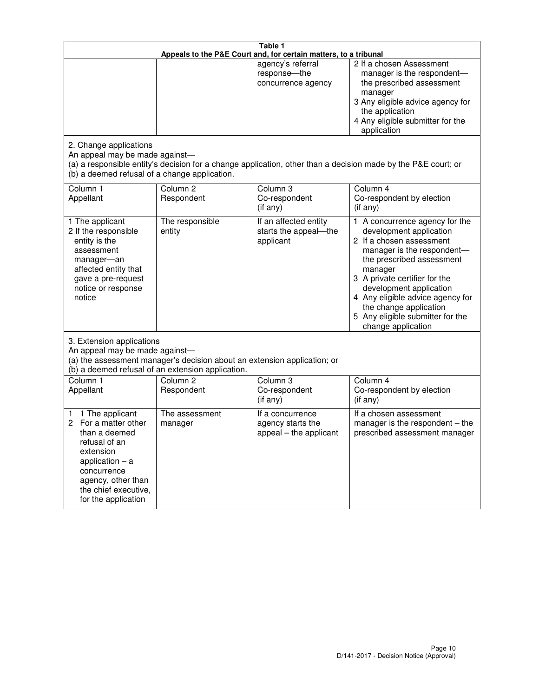| Table 1<br>Appeals to the P&E Court and, for certain matters, to a tribunal                                                                                                                             |                                                                                                                               |                                                                 |                                                                                                                                                                                                                                                                                                                                                 |
|---------------------------------------------------------------------------------------------------------------------------------------------------------------------------------------------------------|-------------------------------------------------------------------------------------------------------------------------------|-----------------------------------------------------------------|-------------------------------------------------------------------------------------------------------------------------------------------------------------------------------------------------------------------------------------------------------------------------------------------------------------------------------------------------|
|                                                                                                                                                                                                         |                                                                                                                               | agency's referral<br>response-the<br>concurrence agency         | 2 If a chosen Assessment<br>manager is the respondent-<br>the prescribed assessment<br>manager<br>3 Any eligible advice agency for<br>the application<br>4 Any eligible submitter for the<br>application                                                                                                                                        |
| 2. Change applications<br>An appeal may be made against-<br>(b) a deemed refusal of a change application.                                                                                               |                                                                                                                               |                                                                 | (a) a responsible entity's decision for a change application, other than a decision made by the P&E court; or                                                                                                                                                                                                                                   |
| Column 1<br>Appellant                                                                                                                                                                                   | Column <sub>2</sub><br>Respondent                                                                                             | Column <sub>3</sub><br>Co-respondent<br>(if any)                | Column 4<br>Co-respondent by election<br>(if any)                                                                                                                                                                                                                                                                                               |
| 1 The applicant<br>2 If the responsible<br>entity is the<br>assessment<br>manager-an<br>affected entity that<br>gave a pre-request<br>notice or response<br>notice                                      | The responsible<br>entity                                                                                                     | If an affected entity<br>starts the appeal-the<br>applicant     | 1 A concurrence agency for the<br>development application<br>2 If a chosen assessment<br>manager is the respondent-<br>the prescribed assessment<br>manager<br>3 A private certifier for the<br>development application<br>4 Any eligible advice agency for<br>the change application<br>5 Any eligible submitter for the<br>change application |
| 3. Extension applications<br>An appeal may be made against-                                                                                                                                             | (a) the assessment manager's decision about an extension application; or<br>(b) a deemed refusal of an extension application. |                                                                 |                                                                                                                                                                                                                                                                                                                                                 |
| Column 1<br>Appellant                                                                                                                                                                                   | Column <sub>2</sub><br>Respondent                                                                                             | Column 3<br>Co-respondent<br>(if any)                           | Column 4<br>Co-respondent by election<br>(if any)                                                                                                                                                                                                                                                                                               |
| 1 The applicant<br>1<br>For a matter other<br>2<br>than a deemed<br>refusal of an<br>extension<br>application $-$ a<br>concurrence<br>agency, other than<br>the chief executive,<br>for the application | The assessment<br>manager                                                                                                     | If a concurrence<br>agency starts the<br>appeal - the applicant | If a chosen assessment<br>manager is the respondent – the<br>prescribed assessment manager                                                                                                                                                                                                                                                      |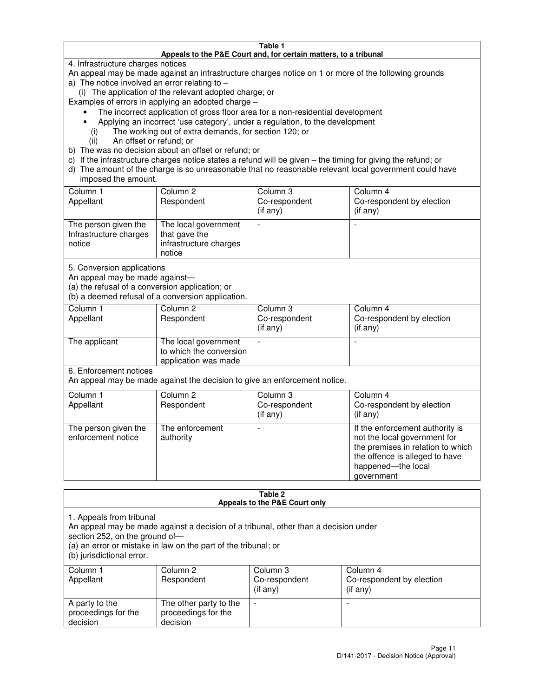#### **Table 1 Appeals to the P&E Court and, for certain matters, to a tribunal**

4. Infrastructure charges notices

An appeal may be made against an infrastructure charges notice on 1 or more of the following grounds

- a) The notice involved an error relating to
	- (i) The application of the relevant adopted charge; or
- Examples of errors in applying an adopted charge
	- The incorrect application of gross floor area for a non-residential development
	- Applying an incorrect 'use category', under a regulation, to the development
		- (i) The working out of extra demands, for section 120; or
		- (ii) An offset or refund; or
- b) The was no decision about an offset or refund; or
- c) If the infrastructure charges notice states a refund will be given the timing for giving the refund; or
- d) The amount of the charge is so unreasonable that no reasonable relevant local government could have imposed the amount.

| Column 1<br>Appellant                                    | Column 2<br>Respondent                                                    | Column 3<br>Co-respondent<br>$($ if any $)$ | Column 4<br>Co-respondent by election<br>$($ if any $)$ |
|----------------------------------------------------------|---------------------------------------------------------------------------|---------------------------------------------|---------------------------------------------------------|
| The person given the<br>Infrastructure charges<br>notice | The local government<br>that gave the<br>infrastructure charges<br>notice |                                             |                                                         |

5. Conversion applications

An appeal may be made against—

(a) the refusal of a conversion application; or

(b) a deemed refusal of a conversion application.

| Column 1<br>Appellant | Column 2<br>Respondent                                                  | Column 3<br>Co-respondent<br>$($ if any $)$ | Column 4<br>Co-respondent by election<br>$($ if any $)$ |
|-----------------------|-------------------------------------------------------------------------|---------------------------------------------|---------------------------------------------------------|
| The applicant         | The local government<br>to which the conversion<br>application was made |                                             |                                                         |

6. Enforcement notices

An appeal may be made against the decision to give an enforcement notice.

| Column 1<br>Appellant                      | Column 2<br>Respondent       | Column 3<br>Co-respondent<br>$($ if any $)$ | Column 4<br>Co-respondent by election<br>(if any)                                                                                                                          |
|--------------------------------------------|------------------------------|---------------------------------------------|----------------------------------------------------------------------------------------------------------------------------------------------------------------------------|
| The person given the<br>enforcement notice | The enforcement<br>authority |                                             | If the enforcement authority is<br>not the local government for<br>the premises in relation to which<br>the offence is alleged to have<br>happened-the local<br>government |

#### **Table 2 Appeals to the P&E Court only**

1. Appeals from tribunal

An appeal may be made against a decision of a tribunal, other than a decision under

section 252, on the ground of—

(a) an error or mistake in law on the part of the tribunal; or

(b) jurisdictional error.

| Column 1<br>Appellant                             | Column 2<br>Respondent                                    | Column 3<br>Co-respondent<br>(if any) | Column 4<br>Co-respondent by election<br>(if any) |
|---------------------------------------------------|-----------------------------------------------------------|---------------------------------------|---------------------------------------------------|
| A party to the<br>proceedings for the<br>decision | The other party to the<br>proceedings for the<br>decision | $\overline{\phantom{a}}$              |                                                   |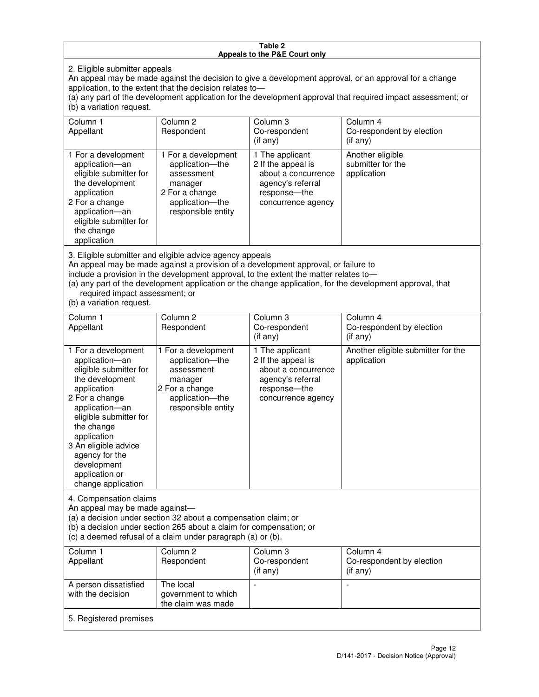#### **Table 2 Appeals to the P&E Court only**

2. Eligible submitter appeals

An appeal may be made against the decision to give a development approval, or an approval for a change application, to the extent that the decision relates to—

(a) any part of the development application for the development approval that required impact assessment; or (b) a variation request.

| Column 1<br>Appellant                                                                                                                                                                                                                                                                                                                                                                                              | Column 2<br>Respondent                                                                                                     | Column 3<br>Co-respondent<br>(if any)                                                                                     | Column 4<br>Co-respondent by election<br>(i f an y)  |
|--------------------------------------------------------------------------------------------------------------------------------------------------------------------------------------------------------------------------------------------------------------------------------------------------------------------------------------------------------------------------------------------------------------------|----------------------------------------------------------------------------------------------------------------------------|---------------------------------------------------------------------------------------------------------------------------|------------------------------------------------------|
| 1 For a development<br>application-an<br>eligible submitter for<br>the development<br>application<br>2 For a change<br>application-an<br>eligible submitter for<br>the change<br>application                                                                                                                                                                                                                       | 1 For a development<br>application-the<br>assessment<br>manager<br>2 For a change<br>application-the<br>responsible entity | 1 The applicant<br>2 If the appeal is<br>about a concurrence<br>agency's referral<br>response---the<br>concurrence agency | Another eligible<br>submitter for the<br>application |
| 3. Eligible submitter and eligible advice agency appeals<br>An appeal may be made against a provision of a development approval, or failure to<br>include a provision in the development approval, to the extent the matter relates to-<br>(a) any part of the development application or the change application, for the development approval, that<br>required impact assessment; or<br>(b) a variation request. |                                                                                                                            |                                                                                                                           |                                                      |
| Column 1                                                                                                                                                                                                                                                                                                                                                                                                           | Column <sub>2</sub>                                                                                                        | Column 3                                                                                                                  | Column 4                                             |
| Appellant                                                                                                                                                                                                                                                                                                                                                                                                          | Respondent                                                                                                                 | Co-respondent<br>(if any)                                                                                                 | Co-respondent by election<br>(i f any)               |
| 1 For a development<br>application-an<br>eligible submitter for<br>the development<br>application<br>2 For a change                                                                                                                                                                                                                                                                                                | 1 For a development<br>application-the<br>assessment<br>manager<br>2 For a change<br>application-the                       | 1 The applicant<br>2 If the appeal is<br>about a concurrence<br>agency's referral<br>response---the<br>concurrence agency | Another eligible submitter for the<br>application    |

An appeal may be made against—

application—an eligible submitter for

4. Compensation claims

the change application 3 An eligible advice agency for the development application or change application

(a) a decision under section 32 about a compensation claim; or

(b) a decision under section 265 about a claim for compensation; or

responsible entity

(c) a deemed refusal of a claim under paragraph (a) or (b).

| Column 1<br>Appellant                      | Column 2<br>Respondent                                 | Column 3<br>Co-respondent<br>(if any) | Column 4<br>Co-respondent by election<br>(if any) |
|--------------------------------------------|--------------------------------------------------------|---------------------------------------|---------------------------------------------------|
| A person dissatisfied<br>with the decision | The local<br>government to which<br>the claim was made |                                       |                                                   |
| 5. Registered premises                     |                                                        |                                       |                                                   |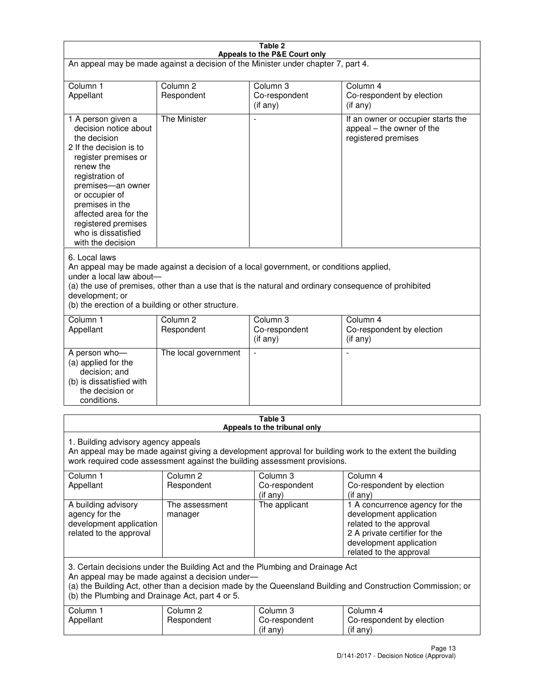| Table 2                                                                                                                                                                                                                                                                                                              |                                   |                                         |                                                                                                                                                                             |  |
|----------------------------------------------------------------------------------------------------------------------------------------------------------------------------------------------------------------------------------------------------------------------------------------------------------------------|-----------------------------------|-----------------------------------------|-----------------------------------------------------------------------------------------------------------------------------------------------------------------------------|--|
| Appeals to the P&E Court only<br>An appeal may be made against a decision of the Minister under chapter 7, part 4.                                                                                                                                                                                                   |                                   |                                         |                                                                                                                                                                             |  |
| Column 1                                                                                                                                                                                                                                                                                                             | Column <sub>2</sub>               | Column <sub>3</sub>                     | Column 4                                                                                                                                                                    |  |
| Appellant                                                                                                                                                                                                                                                                                                            | Respondent                        | Co-respondent<br>(if any)               | Co-respondent by election<br>(if any)                                                                                                                                       |  |
| 1 A person given a<br>decision notice about<br>the decision<br>2 If the decision is to<br>register premises or<br>renew the<br>registration of<br>premises-an owner<br>or occupier of<br>premises in the<br>affected area for the<br>registered premises<br>who is dissatisfied<br>with the decision                 | <b>The Minister</b>               | ÷,                                      | If an owner or occupier starts the<br>appeal – the owner of the<br>registered premises                                                                                      |  |
| 6. Local laws<br>An appeal may be made against a decision of a local government, or conditions applied,<br>under a local law about-<br>(a) the use of premises, other than a use that is the natural and ordinary consequence of prohibited<br>development; or<br>(b) the erection of a building or other structure. |                                   |                                         |                                                                                                                                                                             |  |
| Column 1<br>Appellant                                                                                                                                                                                                                                                                                                | Column 2<br>Respondent            | Column 3<br>Co-respondent<br>(if any)   | Column 4<br>Co-respondent by election<br>(if any)                                                                                                                           |  |
| A person who-<br>(a) applied for the<br>decision; and<br>(b) is dissatisfied with<br>the decision or<br>conditions.                                                                                                                                                                                                  | The local government              |                                         |                                                                                                                                                                             |  |
|                                                                                                                                                                                                                                                                                                                      |                                   | Table 3<br>Appeals to the tribunal only |                                                                                                                                                                             |  |
| 1. Building advisory agency appeals<br>An appeal may be made against giving a development approval for building work to the extent the building<br>work required code assessment against the building assessment provisions.                                                                                         |                                   |                                         |                                                                                                                                                                             |  |
| Column 1<br>Appellant                                                                                                                                                                                                                                                                                                | Column <sub>2</sub><br>Respondent | Column 3<br>Co-respondent<br>(if any)   | Column 4<br>Co-respondent by election<br>(if any)                                                                                                                           |  |
| A building advisory<br>agency for the<br>development application<br>related to the approval                                                                                                                                                                                                                          | The assessment<br>manager         | The applicant                           | 1 A concurrence agency for the<br>development application<br>related to the approval<br>2 A private certifier for the<br>development application<br>related to the approval |  |
| 3. Certain decisions under the Building Act and the Plumbing and Drainage Act<br>An appeal may be made against a decision under-<br>(a) the Building Act, other than a decision made by the Queensland Building and Construction Commission; or<br>(b) the Plumbing and Drainage Act, part 4 or 5.                   |                                   |                                         |                                                                                                                                                                             |  |
| Column 1<br>Appellant                                                                                                                                                                                                                                                                                                | Column <sub>2</sub><br>Respondent | Column 3<br>Co-respondent<br>(if any)   | Column 4<br>Co-respondent by election<br>(if any)                                                                                                                           |  |